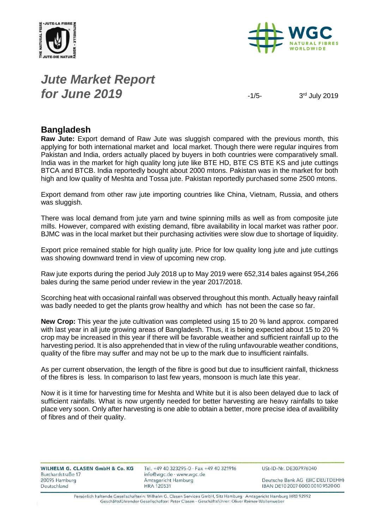



# *Jute Market Report for June* 2019

3rd July 2019

### **Bangladesh**

**Raw Jute:** Export demand of Raw Jute was sluggish compared with the previous month, this applying for both international market and local market. Though there were regular inquires from Pakistan and India, orders actually placed by buyers in both countries were comparatively small. India was in the market for high quality long jute like BTE HD, BTE CS BTE KS and jute cuttings BTCA and BTCB. India reportedly bought about 2000 mtons. Pakistan was in the market for both high and low quality of Meshta and Tossa jute. Pakistan reportedly purchased some 2500 mtons.

Export demand from other raw jute importing countries like China, Vietnam, Russia, and others was sluggish.

There was local demand from jute yarn and twine spinning mills as well as from composite jute mills. However, compared with existing demand, fibre availability in local market was rather poor. BJMC was in the local market but their purchasing activities were slow due to shortage of liquidity.

Export price remained stable for high quality jute. Price for low quality long jute and jute cuttings was showing downward trend in view of upcoming new crop.

Raw jute exports during the period July 2018 up to May 2019 were 652,314 bales against 954,266 bales during the same period under review in the year 2017/2018.

Scorching heat with occasional rainfall was observed throughout this month. Actually heavy rainfall was badly needed to get the plants grow healthy and which has not been the case so far.

**New Crop:** This year the jute cultivation was completed using 15 to 20 % land approx. compared with last year in all jute growing areas of Bangladesh. Thus, it is being expected about 15 to 20 % crop may be increased in this year if there will be favorable weather and sufficient rainfall up to the harvesting period. It is also apprehended that in view of the ruling unfavourable weather conditions, quality of the fibre may suffer and may not be up to the mark due to insufficient rainfalls.

As per current observation, the length of the fibre is good but due to insufficient rainfall, thickness of the fibres is less. In comparison to last few years, monsoon is much late this year.

Now it is it time for harvesting time for Meshta and White but it is also been delayed due to lack of sufficient rainfalls. What is now urgently needed for better harvesting are heavy rainfalls to take place very soon. Only after harvesting is one able to obtain a better, more precise idea of availibility of fibres and of their quality.

| <b>WILHELM G. CLASEN GmbH &amp; Co. KG</b> |  |  |  |
|--------------------------------------------|--|--|--|
| Burchardstraße 17                          |  |  |  |
| 20095 Hamburg                              |  |  |  |
| Deutschland                                |  |  |  |

Tel. +49 40 323295-0 · Fax +49 40 321916 info@wgc.de · www.wgc.de Amtsgericht Hamburg **HRA 120531** 

USt-ID-Nr. DE307976040

Deutsche Bank AG (BIC DEUTDEHH) IBAN DE10 2007 0000 0010 9520 00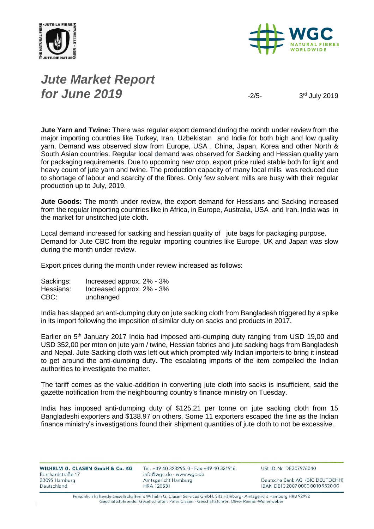



# *Jute Market Report for June 2019*  $\frac{1}{2}$

3rd July 2019

**Jute Yarn and Twine:** There was regular export demand during the month under review from the major importing countries like Turkey, Iran, Uzbekistan and India for both high and low quality yarn. Demand was observed slow from Europe, USA , China, Japan, Korea and other North & South Asian countries. Regular local demand was observed for Sacking and Hessian quality yarn for packaging requirements. Due to upcoming new crop, export price ruled stable both for light and heavy count of jute yarn and twine. The production capacity of many local mills was reduced due to shortage of labour and scarcity of the fibres. Only few solvent mills are busy with their regular production up to July, 2019.

**Jute Goods:** The month under review, the export demand for Hessians and Sacking increased from the regular importing countries like in Africa, in Europe, Australia, USA and Iran. India was in the market for unstitched jute cloth.

Local demand increased for sacking and hessian quality of jute bags for packaging purpose. Demand for Jute CBC from the regular importing countries like Europe, UK and Japan was slow during the month under review.

Export prices during the month under review increased as follows:

| Sackings: | Increased approx. 2% - 3% |
|-----------|---------------------------|
| Hessians: | Increased approx. 2% - 3% |
| CBC:      | unchanged                 |

India has slapped an anti-dumping duty on jute sacking cloth from Bangladesh triggered by a spike in its import following the imposition of similar duty on sacks and products in 2017.

Earlier on 5<sup>th</sup> January 2017 India had imposed anti-dumping duty ranging from USD 19,00 and USD 352,00 per mton on jute yarn / twine, Hessian fabrics and jute sacking bags from Bangladesh and Nepal. Jute Sacking cloth was left out which prompted wily Indian importers to bring it instead to get around the anti-dumping duty. The escalating imports of the item compelled the Indian authorities to investigate the matter.

The tariff comes as the value-addition in converting jute cloth into sacks is insufficient, said the gazette notification from the neighbouring country's finance ministry on Tuesday.

India has imposed anti-dumping duty of \$125.21 per tonne on jute sacking cloth from 15 Bangladeshi exporters and \$138.97 on others. Some 11 exporters escaped the fine as the Indian finance ministry's investigations found their shipment quantities of jute cloth to not be excessive.

| WILHELM G. CLASEN GmbH & Co. KG<br>Burchardstraße 17 | Tel. +49 40 323295-0 · Fax +49 40 321916<br>info@wgc.de · www.wgc.de | USt-ID-Nr. DE307976040           |
|------------------------------------------------------|----------------------------------------------------------------------|----------------------------------|
| 20095 Hamburg                                        | Amtsgericht Hamburg                                                  | Deutsche Bank AG (BIC DEUTDEHH)  |
| Deutschland                                          | <b>HRA 120531</b>                                                    | IBAN DE10 2007 0000 0010 9520 00 |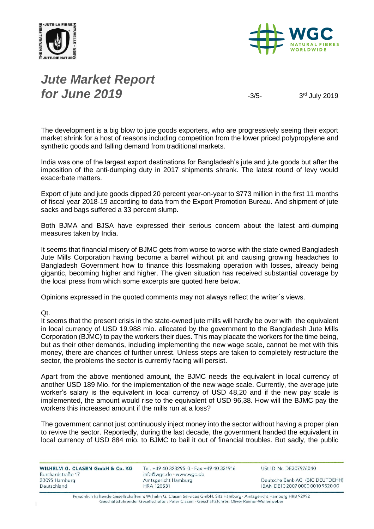



# *Jute Market Report for June 2019*  $\frac{3}{5}$

3rd July 2019

The development is a big blow to jute goods exporters, who are progressively seeing their export market shrink for a host of reasons including competition from the lower priced polypropylene and synthetic goods and falling demand from traditional markets.

India was one of the largest export destinations for Bangladesh's jute and jute goods but after the imposition of the anti-dumping duty in 2017 shipments shrank. The latest round of levy would exacerbate matters.

Export of jute and jute goods dipped 20 percent year-on-year to \$773 million in the first 11 months of fiscal year 2018-19 according to data from the Export Promotion Bureau. And shipment of jute sacks and bags suffered a 33 percent slump.

Both BJMA and BJSA have expressed their serious concern about the latest anti-dumping measures taken by India.

It seems that financial misery of BJMC gets from worse to worse with the state owned Bangladesh Jute Mills Corporation having become a barrel without pit and causing growing headaches to Bangladesh Government how to finance this lossmaking operation with losses, already being gigantic, becoming higher and higher. The given situation has received substantial coverage by the local press from which some excerpts are quoted here below.

Opinions expressed in the quoted comments may not always reflect the writer´s views.

Qt.

It seems that the present crisis in the state-owned jute mills will hardly be over with the equivalent in local currency of USD 19.988 mio. allocated by the government to the Bangladesh Jute Mills Corporation (BJMC) to pay the workers their dues. This may placate the workers for the time being, but as their other demands, including implementing the new wage scale, cannot be met with this money, there are chances of further unrest. Unless steps are taken to completely restructure the sector, the problems the sector is currently facing will persist.

Apart from the above mentioned amount, the BJMC needs the equivalent in local currency of another USD 189 Mio. for the implementation of the new wage scale. Currently, the average jute worker's salary is the equivalent in local currency of USD 48,20 and if the new pay scale is implemented, the amount would rise to the equivalent of USD 96,38. How will the BJMC pay the workers this increased amount if the mills run at a loss?

The government cannot just continuously inject money into the sector without having a proper plan to revive the sector. Reportedly, during the last decade, the government handed the equivalent in local currency of USD 884 mio. to BJMC to bail it out of financial troubles. But sadly, the public

WILHELM G. CLASEN GmbH & Co. KG Burchardstraße 17 20095 Hamburg Deutschland

Tel. +49 40 323295-0 · Fax +49 40 321916 info@wgc.de · www.wgc.de Amtsgericht Hamburg **HRA 120531** 

USt-ID-Nr. DE307976040

Deutsche Bank AG (BIC DEUTDEHH) IBAN DE10 2007 0000 0010 9520 00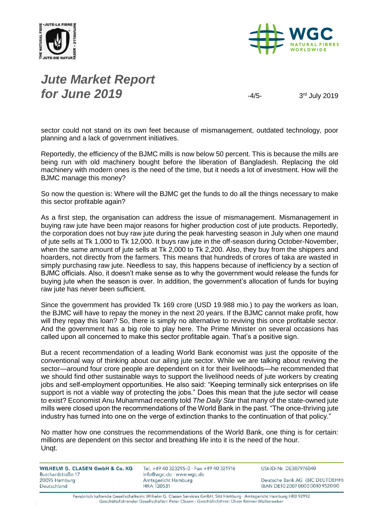



# *Jute Market Report for June 2019*  $\frac{4}{5}$

3rd July 2019

sector could not stand on its own feet because of mismanagement, outdated technology, poor planning and a lack of government initiatives.

Reportedly, the efficiency of the BJMC mills is now below 50 percent. This is because the mills are being run with old machinery bought before the liberation of Bangladesh. Replacing the old machinery with modern ones is the need of the time, but it needs a lot of investment. How will the BJMC manage this money?

So now the question is: Where will the BJMC get the funds to do all the things necessary to make this sector profitable again?

As a first step, the organisation can address the issue of mismanagement. Mismanagement in buying raw jute have been major reasons for higher production cost of jute products. Reportedly, the corporation does not buy raw jute during the peak harvesting season in July when one maund of jute sells at Tk 1,000 to Tk 12,000. It buys raw jute in the off-season during October-November, when the same amount of jute sells at Tk 2,000 to Tk 2,200. Also, they buy from the shippers and hoarders, not directly from the farmers. This means that hundreds of crores of taka are wasted in simply purchasing raw jute. Needless to say, this happens because of inefficiency by a section of BJMC officials. Also, it doesn't make sense as to why the government would release the funds for buying jute when the season is over. In addition, the government's allocation of funds for buying raw jute has never been sufficient.

Since the government has provided Tk 169 crore (USD 19.988 mio.) to pay the workers as loan, the BJMC will have to repay the money in the next 20 years. If the BJMC cannot make profit, how will they repay this loan? So, there is simply no alternative to reviving this once profitable sector. And the government has a big role to play here. The Prime Minister on several occasions has called upon all concerned to make this sector profitable again. That's a positive sign.

But a recent recommendation of a leading World Bank economist was just the opposite of the conventional way of thinking about our ailing jute sector. While we are talking about reviving the sector—around four crore people are dependent on it for their livelihoods—he recommended that we should find other sustainable ways to support the livelihood needs of jute workers by creating jobs and self-employment opportunities. He also said: "Keeping terminally sick enterprises on life support is not a viable way of protecting the jobs." Does this mean that the jute sector will cease to exist? Economist Anu Muhammad recently told *The Daily Star* that many of the state-owned jute mills were closed upon the recommendations of the World Bank in the past. "The once-thriving jute industry has turned into one on the verge of extinction thanks to the continuation of that policy."

No matter how one construes the recommendations of the World Bank, one thing is for certain: millions are dependent on this sector and breathing life into it is the need of the hour. Unqt.

| WILHELM G. CLASEN GmbH & Co. KG<br>Burchardstraße 17 | Tel. +49 40 323295-0 · Fax +49 40 321916<br>info@wgc.de · www.wgc.de | USt-ID-Nr. DE307976040           |
|------------------------------------------------------|----------------------------------------------------------------------|----------------------------------|
| 20095 Hamburg                                        | Amtsgericht Hamburg                                                  | Deutsche Bank AG (BIC DEUTDEHH)  |
| Deutschland                                          | <b>HRA 120531</b>                                                    | IBAN DE10 2007 0000 0010 9520 00 |